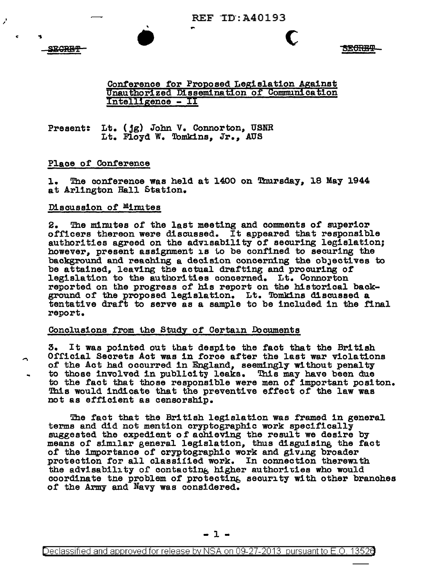

• ..

c

**SECREF** 

# Conference for Proposed Legislation Against Unauthorized Dissemination of dommurilcation Intelligence - II

### Present: Lt. (jg) John V. Connorton, USNR Lt. Floyd w. Tomkins, Jr., AUS

• ...

## Place of Conference

1. The conference was held at 1400 on Thursday, 18 May 1944 at Arlington Hall Station.

### Discussion of Minutes

2. The minutes of the last meeting and comments of superior<br>officers thereon were discussed. It appeared that responsible<br>authorities agreed on the advisability of securing legislation;<br>however, present assignment is to be background and reaching a decision concerning the obJectives to be attained, leaving the actual drafting and procuring of legislation to the author! ties concerned. Lt. Connarton reported on the progress of his report on the historical background of the proposed legislation. Lt. Tomkins discussed a tentative draft to serve as a sample to be included in the final report.

### Conclusions from the Study of Certain Documents

3. It was pointed out that despite the fact that the British Official Secrets Act was in force after the last war violations of the Act had occurred in England, seemingly without penalty to those involved in publicity leaks. This may have been due to the fact that those responsible were men of important positon. This would indicate that the preventive effect of the law was not as efficient as censorship.

The fact that the British legislation was framed in general terms and did not mention cryptographic work specifically suggested the expedient of achieving the result we desire by means of similar general legislation, thus disguisine, the fact of the importance of cryptographic work and giving broader protection for all classified work. In connection therewith the advisability of contacting higher authorities who would coordinate tne problem of protectine, security with other branches of the Army and Navy was considered.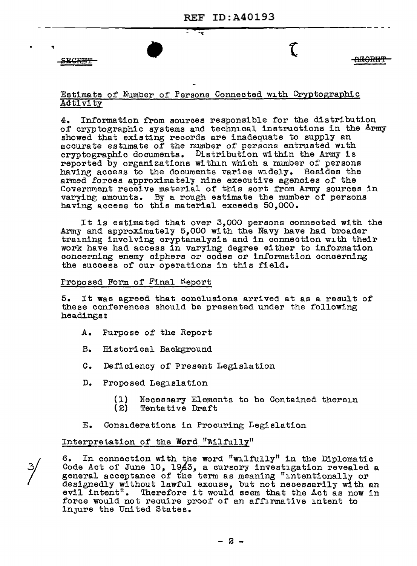**SEGRET** 

 $\mathcal{L}$  <u>eborser</u>

### Estimate of Number of Persona Connected with Cryptographic Aotivitz

 $\mathbf{r}$ 

4. Information from sources responsible for the distribution of cryptographic systems and technical instructions in the Army showed that existing records are inadequate to supply an accurate estimate of the number of persons entrusted with cryptographic documents. Distribution within the Army is reported by organizations within which a number of persons having access to the documents varies widely. Besides the armed forces approximately nine executive agencies of the Covernment receive material of this sort from Army sources in varying amounts. By a rough estimate the number of persons having access to this material exceeds 50,000.

It is estimated that over 3,000 persona connected with the Army and approximately 5,000 with the Navy have had broader training involving cryptanalysis and in connection with their work have had access in varying degree either to information concerning enemy ciphers or codes or information concerning the success of our operations in this field.

Proposed Form of Final Report

5. It was agreed that conclusions arrived at as a result of these conferences should be presented under the following headings:

- A. Purpose of the Report
- B. Historical Background
- c. Deficiency of Present Legislation
- D. Proposed Legislation
	- (1) Necessary Elements to be Contained therein<br>(2) Tentative Draft
	- Tentative Draft
- E. Considerations in Procuring Legislation

Interpretation of the Word "Wilfully"

6. In connection with the word "wilfully" in the Diplomatic Code Act of June 10, 1943, a cursory investigation revealed a general acceptance of the term as meaning "intentionally or designedly without lawful excuse, but not necessarily with an evil intent". Therefore it would seem that the Act as now in Therefore it would seem that the Act as now in force would not reauire proof of an affirmative intent to injure the United States.

- 2 -